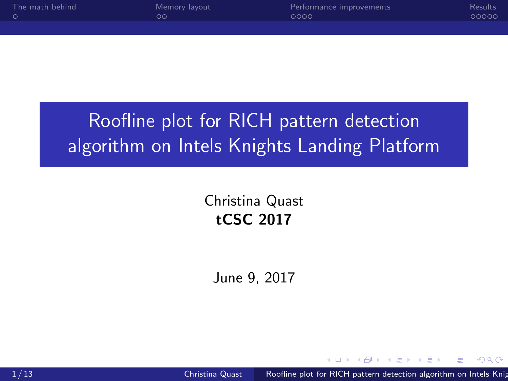<span id="page-0-0"></span>

| The math behind | Memory layout | Performance improvements | <b>Results</b> |
|-----------------|---------------|--------------------------|----------------|
|                 | วด            | 0000                     | 00000          |
|                 |               |                          |                |

# Roofline plot for RICH pattern detection algorithm on Intels Knights Landing Platform

Christina Quast tCSC 2017

June 9, 2017

**ALCOHOL:**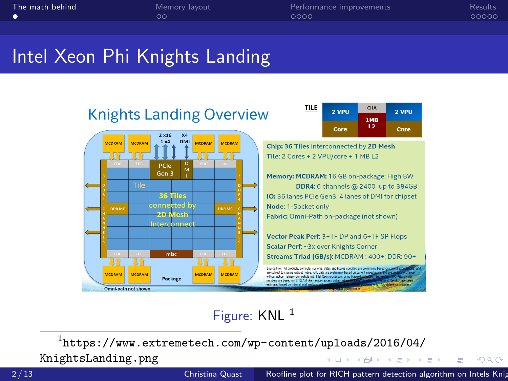<span id="page-1-0"></span>[The math behind](#page-1-0) [Memory layout](#page-2-0) [Performance improvements](#page-4-0) [Results](#page-8-0)

 $\Omega$ 

# Intel Xeon Phi Knights Landing



### Figure: KNL<sup>1</sup>

 $^{\rm 1}$ [https://www.extremetech.com/wp-content/uploads/2016/04/](https://www.extremetech.com/wp-content/uploads/2016/04/KnightsLanding.png) [KnightsLanding.png](https://www.extremetech.com/wp-content/uploads/2016/04/KnightsLanding.png) イロン イ母ン イヨン イヨン

2/13 Christina Quast [Roofline plot for RICH pattern detection algorithm on Intels Knights Landing Platform](#page-0-0) Platform Platform Platform Platform Platform Platform Platform Platform Platform Platform Platform Platform Platfor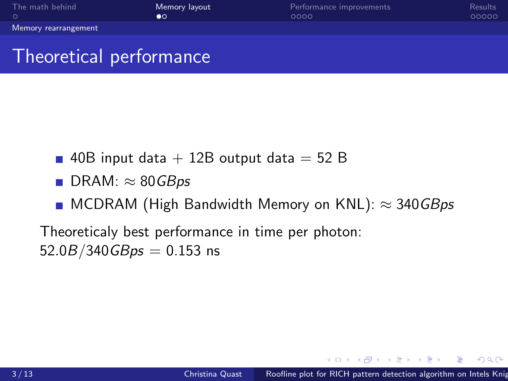<span id="page-2-0"></span>

| The math behind      | Memory layout | Performance improvements | Results |
|----------------------|---------------|--------------------------|---------|
|                      | ∙∘            | 0000                     | 00000   |
| Memory rearrangement |               |                          |         |
|                      |               |                          |         |

# Theoretical performance

- 40B input data  $+$  12B output data  $=$  52 B
- DRAM:  $\approx$  80*GBps*
- **MCDRAM (High Bandwidth Memory on KNL):**  $\approx$  340 GBps

Theoreticaly best performance in time per photon:  $52.0B/340GB$ ps = 0.153 ns

→ (何) > → (目) → → (目) >

 $2990$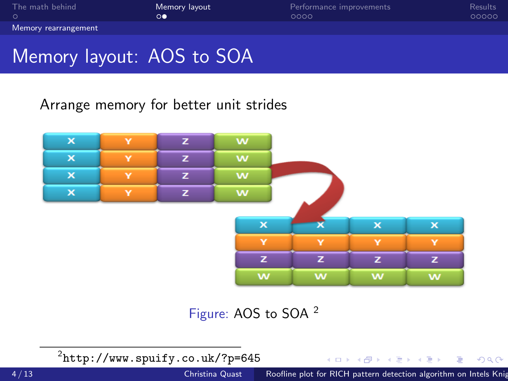| The math behind      | Memory layout | Performance improvements | <b>Results</b> |
|----------------------|---------------|--------------------------|----------------|
| . റ                  | ൟ             | ೧೧೧೧                     | 00000          |
| Memory rearrangement |               |                          |                |

# Memory layout: AOS to SOA

### Arrange memory for better unit strides



Figure: AOS to SOA <sup>2</sup>

 $\mathrm{^{2}$ <http://www.spuify.co.uk/?p=645>

 $299$ 

э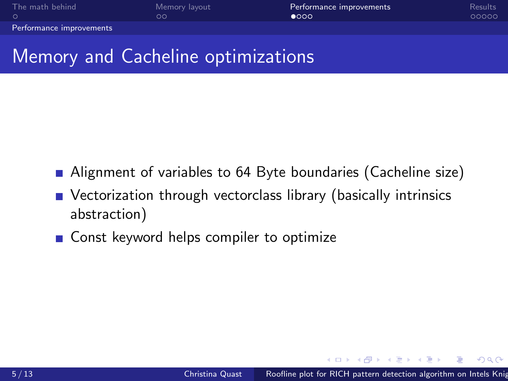<span id="page-4-0"></span>[The math behind](#page-1-0) [Memory layout](#page-2-0) **[Performance improvements](#page-4-0)**<br>O COOOO **COOOO** COOOO COOOO ACCOM [Performance improvements](#page-4-0)

# Memory and Cacheline optimizations

- Alignment of variables to 64 Byte boundaries (Cacheline size)
- Vectorization through vectorclass library (basically intrinsics abstraction)
- Const keyword helps compiler to optimize

**A A REAL A RE**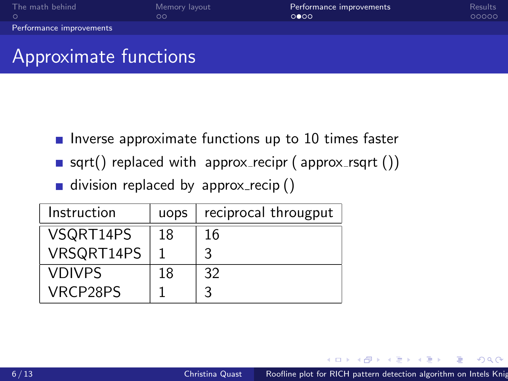| The math behind          | Memory layout<br>הר | Performance improvements<br>0000 | <b>Results</b><br>00000 |
|--------------------------|---------------------|----------------------------------|-------------------------|
| Performance improvements |                     |                                  |                         |
|                          |                     |                                  |                         |

# Approximate functions

- Inverse approximate functions up to 10 times faster
- sqrt() replaced with approx recipr (approx rsqrt  $()$ )
- division replaced by approx recip  $()$

| Instruction   | uops | reciprocal througput |
|---------------|------|----------------------|
| VSQRT14PS     | 18   | 16                   |
| VRSQRT14PS    |      | 3                    |
| <b>VDIVPS</b> | 18   | 32                   |
| VRCP28PS      |      |                      |

伊 ▶ イヨ ▶ イヨ ▶

 $2990$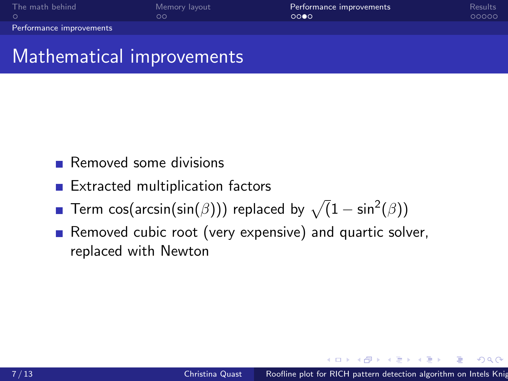| The math behind          | Memory layout | Performance improvements | Results |
|--------------------------|---------------|--------------------------|---------|
|                          | ററ            | 0000                     | 00000   |
| Performance improvements |               |                          |         |

### Mathematical improvements

- Removed some divisions
- **Extracted multiplication factors**
- Term cos(arcsin(sin( $\beta$ ))) replaced by  $\sqrt(1-\sin^2(\beta))$
- Removed cubic root (very expensive) and quartic solver,  $\mathcal{L}_{\mathcal{A}}$ replaced with Newton

 $\Omega$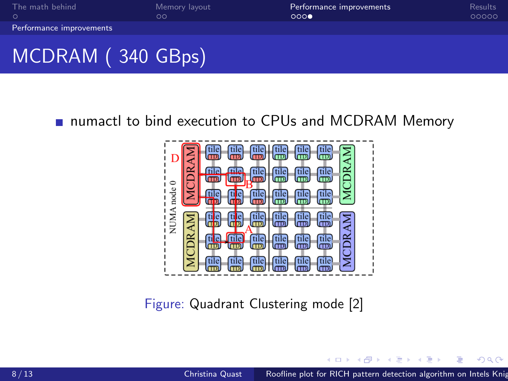<span id="page-7-0"></span>

| The math behind          | Memory layout | Performance improvements | Results |
|--------------------------|---------------|--------------------------|---------|
|                          | OΟ            | 0000                     | 00000   |
| Performance improvements |               |                          |         |
|                          |               |                          |         |

# MCDRAM ( 340 GBps)

### numactl to bind execution to CPUs and MCDRAM Memory



Figure: Quadrant Clustering mode [\[2\]](#page-11-0)

任  $\sim$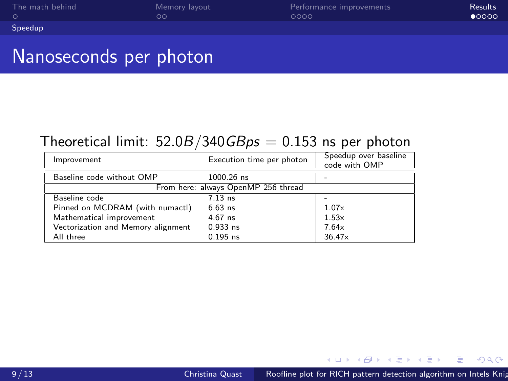<span id="page-8-0"></span>

| The math behind | Memory layout | Performance improvements | <b>Results</b> |
|-----------------|---------------|--------------------------|----------------|
|                 | OО            | ೧೧೧೧                     | $\bullet$ 0000 |
| Speedup         |               |                          |                |

### Nanoseconds per photon

#### Theoretical limit:  $52.0B/340GBps = 0.153$  ns per photon

| Improvement                        | Execution time per photon           | Speedup over baseline<br>code with OMP |
|------------------------------------|-------------------------------------|----------------------------------------|
| Baseline code without OMP          | 1000.26 ns                          |                                        |
|                                    | From here: always OpenMP 256 thread |                                        |
| Baseline code                      | $7.13$ ns                           |                                        |
| Pinned on MCDRAM (with numactl)    | $6.63$ ns                           | 1.07x                                  |
| Mathematical improvement           | $4.67$ ns                           | 1.53x                                  |
| Vectorization and Memory alignment | $0.933$ ns                          | 7.64x                                  |
| All three                          | $0.195$ ns                          | 36.47×                                 |

医阿里氏阿里

 $299$ 

Ξ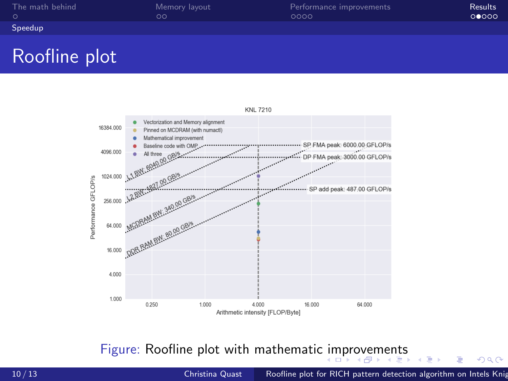<span id="page-9-0"></span>

| The math behind | Memory layout | Performance improvements | Results |
|-----------------|---------------|--------------------------|---------|
|                 | ററ            | 0000                     | 00000   |
| Speedup         |               |                          |         |

## Roofline plot



Figure: Roofline plot with mathematic [im](#page-8-0)[pr](#page-10-0)[o](#page-8-0)[ve](#page-9-0)[m](#page-10-0)[e](#page-7-0)[n](#page-8-0)[ts](#page-13-0)

モミド

 $299$ 

э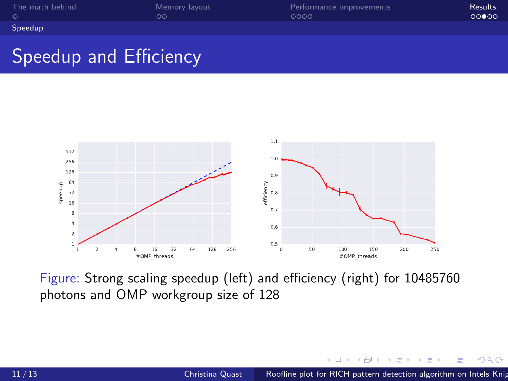<span id="page-10-0"></span>

| The math behind | Memory layout | Performance improvements | <b>Results</b> |
|-----------------|---------------|--------------------------|----------------|
|                 | ററ            | 0000                     | 00000          |
| Speedup         |               |                          |                |

## Speedup and Efficiency



Figure: Strong scaling speedup (left) and efficiency (right) for 10485760 photons and OMP workgroup size of 128

同  $\sim$  $\equiv$ 

a.

 $QQ$ 

Ξ

Έ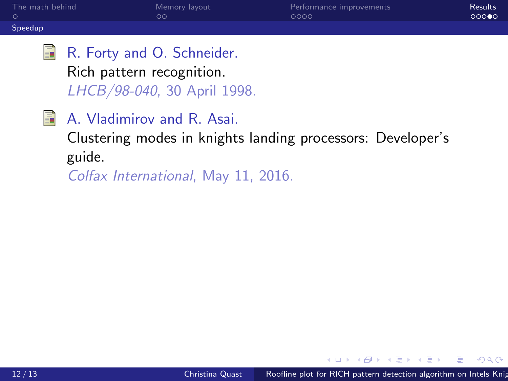| The math behind | Memory layout | Performance improvements | Results |
|-----------------|---------------|--------------------------|---------|
|                 | $\circ$       | 0000                     | 00000   |
| Speedup         |               |                          |         |

- <span id="page-11-1"></span>量 R. Forty and O. Schneider. Rich pattern recognition. LHCB/98-040, 30 April 1998.
- <span id="page-11-0"></span>歸 A. Vladimirov and R. Asai.

Clustering modes in knights landing processors: Developer's guide.

Colfax International, May 11, 2016.

 $x = x$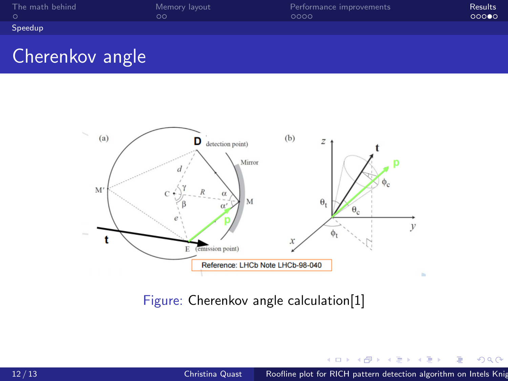| The math behind | Memory layout | Performance improvements | Results |
|-----------------|---------------|--------------------------|---------|
|                 | DС            | 0000                     | 00000   |
| Speedup         |               |                          |         |

## Cherenkov angle



Figure: Cherenkov angle calculation[\[1\]](#page-11-1)

 $\mathbf{h}$ 4. 重  $\mathbf{h}$ Έ  $290$ 

∍